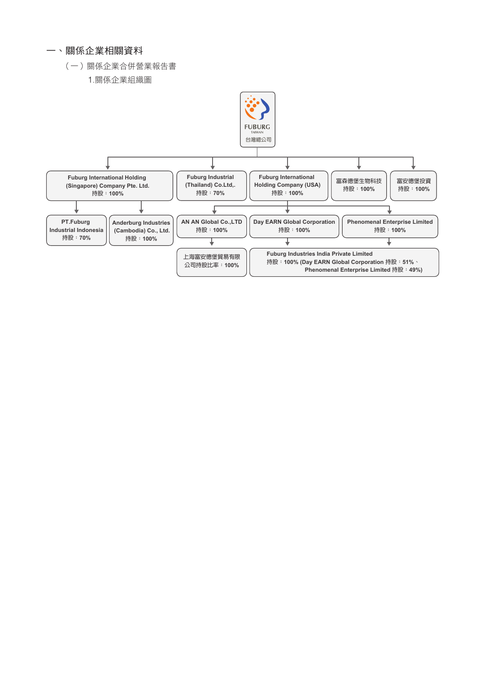## 一、關係企業相關資料

## (一)關係企業合併營業報告書

1.關係企業組織圖